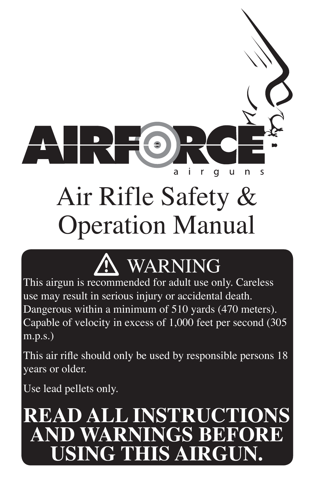# Air Rifle Safety & Operation Manual

a

q



This airgun is recommended for adult use only. Careless use may result in serious injury or accidental death. Dangerous within a minimum of 510 yards (470 meters). Capable of velocity in excess of 1,000 feet per second (305 m.p.s.)

This air rifle should only be used by responsible persons 18 years or older.

Use lead pellets only.

## **READ ALL INSTRUCTIONS AND WARNINGS BEFORE USING THIS AIRGUN.**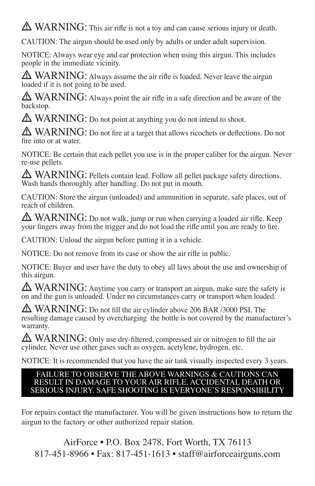A WARNING: This air rifle is not a toy and can cause serious injury or death.

CAUTION: The airgun should be used only by adults or under adult supervision.

NOTICE: Always wear eye and ear protection when using this airgun. This includes people in the immediate vicinity.

A WARNING: Always assume the air rifle is loaded. Never leave the airgun loaded if it is not going to be used.

 $\triangle$  WARNING: Always point the air rifle in a safe direction and be aware of the backstop.

A WARNING: Do not point at anything you do not intend to shoot.

A WARNING: Do not fire at a target that allows ricochets or deflections. Do not fire into or at water.

NOTICE: Be certain that each pellet you use is in the proper caliber for the airgun. Never re-use pellets.

A WARNING: Pellets contain lead. Follow all pellet package safety directions. Wash hands thoroughly after handling. Do not put in mouth.

CAUTION: Store the airgun (unloaded) and ammunition in separate, safe places, out of reach of children.

 $\triangle$  WARNING: Do not walk, jump or run when carrying a loaded air rifle. Keep your fingers away from the trigger and do not load the rifle until you are ready to fire.

CAUTION: Unload the airgun before putting it in a vehicle.

NOTICE: Do not remove from its case or show the air rifle in public.

NOTICE: Buyer and user have the duty to obey all laws about the use and ownership of this airgun.

 $\triangle$  WARNING: Anytime you carry or transport an airgun, make sure the safety is on and the gun is unloaded. Under no circumstances carry or transport when loaded.

 $\triangle$  WARNING: Do not fill the air cylinder above 206 BAR /3000 PSI. The resulting damage caused by overcharging the bottle is not covered by the manufacturer's warranty.

A WARNING: Only use dry-filtered, compressed air or nitrogen to fill the air cylinder. Never use other gases such as oxygen, acetylene, hydrogen, etc.

NOTICE: It is recommended that you have the air tank visually inspected every 3 years.

#### FAILURE TO OBSERVE THE ABOVE WARNINGS & CAUTIONS CAN RESULT IN DAMAGE TO YOUR AIR RIFLE, ACCIDENTAL DEATH OR SERIOUS INJURY. SAFE SHOOTING IS EVERYONE'S RESPONSIBILITY

For repairs contact the manufacturer. You will be given instructions how to return the airgun to the factory or other authorized repair station.

AirForce • P.O. Box 2478, Fort Worth, TX 76113 817-451-8966 • Fax: 817-451-1613 • staff@airforceairguns.com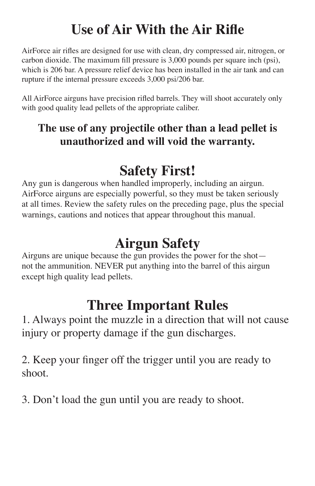## **Use of Air With the Air Rifle**

AirForce air rifles are designed for use with clean, dry compressed air, nitrogen, or carbon dioxide. The maximum fill pressure is 3,000 pounds per square inch (psi), which is 206 bar. A pressure relief device has been installed in the air tank and can rupture if the internal pressure exceeds 3,000 psi/206 bar.

All AirForce airguns have precision rifled barrels. They will shoot accurately only with good quality lead pellets of the appropriate caliber.

#### **The use of any projectile other than a lead pellet is unauthorized and will void the warranty.**

## **Safety First!**

Any gun is dangerous when handled improperly, including an airgun. AirForce airguns are especially powerful, so they must be taken seriously at all times. Review the safety rules on the preceding page, plus the special warnings, cautions and notices that appear throughout this manual.

## **Airgun Safety**

Airguns are unique because the gun provides the power for the shot not the ammunition. NEVER put anything into the barrel of this airgun except high quality lead pellets.

### **Three Important Rules**

1. Always point the muzzle in a direction that will not cause injury or property damage if the gun discharges.

2. Keep your finger off the trigger until you are ready to shoot.

3. Don't load the gun until you are ready to shoot.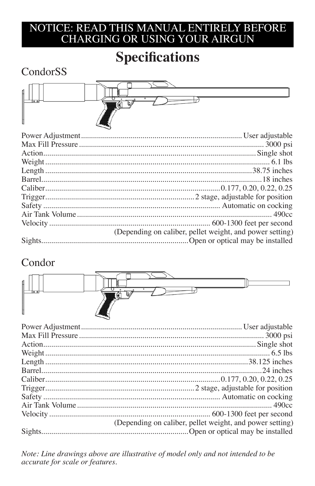### **Specifications**

### CondorSS



| (Depending on caliber, pellet weight, and power setting) |
|----------------------------------------------------------|
|                                                          |

#### Condor



| (Depending on caliber, pellet weight, and power setting) |
|----------------------------------------------------------|
|                                                          |

Note: Line drawings above are illustrative of model only and not intended to be accurate for scale or features.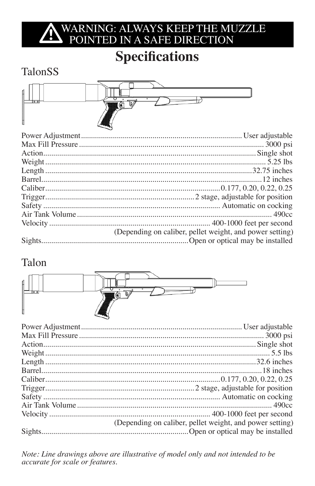## WARNING: ALWAYS KEEP THE MUZZLE<br>POINTED IN A SAFE DIRECTION

## **Specifications**

### TalonSS



| (Depending on caliber, pellet weight, and power setting) |
|----------------------------------------------------------|
|                                                          |

#### Talon



| (Depending on caliber, pellet weight, and power setting) |
|----------------------------------------------------------|
|                                                          |
|                                                          |

Note: Line drawings above are illustrative of model only and not intended to be accurate for scale or features.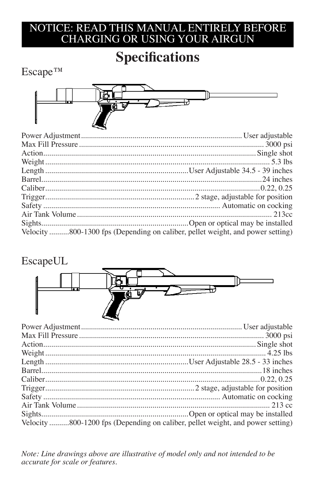### **Specifications**

#### **Escape™**



| Velocity 800-1300 fps (Depending on caliber, pellet weight, and power setting) |  |
|--------------------------------------------------------------------------------|--|

#### EscapeUL



| Velocity 800-1200 fps (Depending on caliber, pellet weight, and power setting) |  |
|--------------------------------------------------------------------------------|--|

Note: Line drawings above are illustrative of model only and not intended to be accurate for scale or features.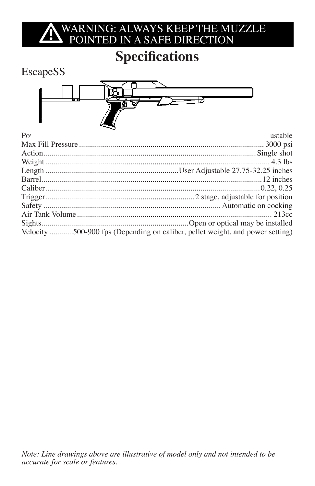## WARNING: ALWAYS KEEP THE MUZZLE POINTED IN A SAFE DIRECTION

### **Specifications**

#### EscapeSS



| $P_{\Omega}$ | ustable                                                                       |
|--------------|-------------------------------------------------------------------------------|
|              |                                                                               |
|              |                                                                               |
|              |                                                                               |
|              |                                                                               |
|              |                                                                               |
|              |                                                                               |
|              |                                                                               |
|              |                                                                               |
|              |                                                                               |
|              |                                                                               |
|              | Velocity 500-900 fps (Depending on caliber, pellet weight, and power setting) |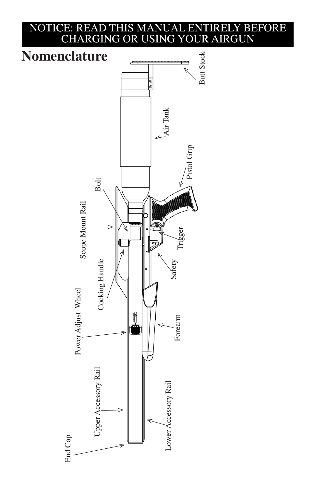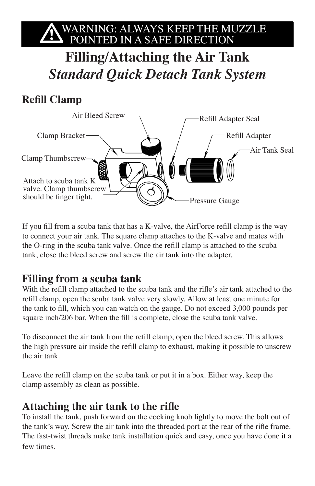# WARNING: ALWAYS KEEP THE MUZZLE POINTED IN A SAFE DIRECTION

**Filling/Attaching the Air Tank** *Standard Quick Detach Tank System*

#### **Refill Clamp**



If you fill from a scuba tank that has a K-valve, the AirForce refill clamp is the way to connect your air tank. The square clamp attaches to the K-valve and mates with the O-ring in the scuba tank valve. Once the refill clamp is attached to the scuba tank, close the bleed screw and screw the air tank into the adapter.

#### **Filling from a scuba tank**

With the refill clamp attached to the scuba tank and the rifle's air tank attached to the refill clamp, open the scuba tank valve very slowly. Allow at least one minute for the tank to fill, which you can watch on the gauge. Do not exceed 3,000 pounds per square inch/206 bar. When the fill is complete, close the scuba tank valve.

To disconnect the air tank from the refill clamp, open the bleed screw. This allows the high pressure air inside the refill clamp to exhaust, making it possible to unscrew the air tank.

Leave the refill clamp on the scuba tank or put it in a box. Either way, keep the clamp assembly as clean as possible.

#### **Attaching the air tank to the rifle**

To install the tank, push forward on the cocking knob lightly to move the bolt out of the tank's way. Screw the air tank into the threaded port at the rear of the rifle frame. The fast-twist threads make tank installation quick and easy, once you have done it a few times.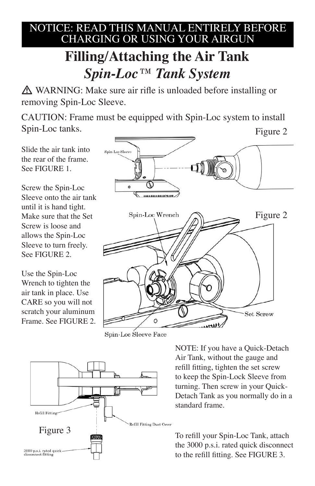## **Filling/Attaching the Air Tank** *Spin-Loc™ Tank System*

A WARNING: Make sure air rifle is unloaded before installing or removing Spin-Loc Sleeve.

CAUTION: Frame must be equipped with Spin-Loc system to install Spin-Loc tanks. Figure 2

Slide the air tank into the rear of the frame. See FIGURE 1.

Screw the Spin-Loc Sleeve onto the air tank until it is hand tight. Make sure that the Set Screw is loose and allows the Spin-Loc Sleeve to turn freely. See FIGURE 2.

Use the Spin-Loc Wrench to tighten the air tank in place. Use CARE so you will not scratch your aluminum Frame. See FIGURE 2.



Spin-Loc Sleeve Face



NOTE: If you have a Quick-Detach Air Tank, without the gauge and refill fitting, tighten the set screw to keep the Spin-Lock Sleeve from turning. Then screw in your Quick-Detach Tank as you normally do in a standard frame.

the 3000 p.s.i. rated quick disconnect to the refill fitting. See FIGURE 3.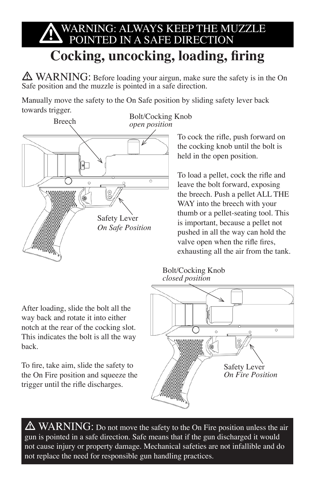## WARNING: ALWAYS KEEP THE MUZZLE<br>POINTED IN A SAFE DIRECTION **Cocking, uncocking, loading, firing**

 $\triangle$  WARNING: Before loading your airgun, make sure the safety is in the On Safe position and the muzzle is pointed in a safe direction.

Manually move the safety to the On Safe position by sliding safety lever back towards trigger.



After loading, slide the bolt all the way back and rotate it into either notch at the rear of the cocking slot. This indicates the bolt is all the way back.

To fire, take aim, slide the safety to the On Fire position and squeeze the trigger until the rifle discharges.

To cock the rifle, push forward on the cocking knob until the bolt is held in the open position.

To load a pellet, cock the rifle and leave the bolt forward, exposing the breech. Push a pellet ALL THE WAY into the breech with your thumb or a pellet-seating tool. This is important, because a pellet not pushed in all the way can hold the valve open when the rifle fires, exhausting all the air from the tank.

#### Bolt/Cocking Knob *closed position*



 $\triangle$  WARNING: Do not move the safety to the On Fire position unless the air gun is pointed in a safe direction. Safe means that if the gun discharged it would not cause injury or property damage. Mechanical safeties are not infallible and do not replace the need for responsible gun handling practices.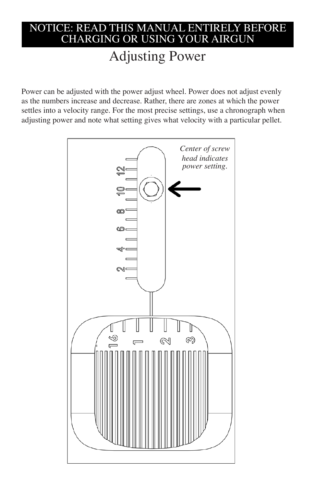### Adjusting Power

Power can be adjusted with the power adjust wheel. Power does not adjust evenly as the numbers increase and decrease. Rather, there are zones at which the power settles into a velocity range. For the most precise settings, use a chronograph when adjusting power and note what setting gives what velocity with a particular pellet.

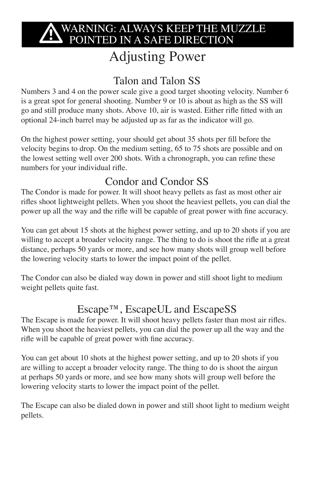## WARNING: ALWAYS KEEP THE MUZZLE<br>DOINTED IN A SAFE DIRECTION

### Adjusting Power

#### Talon and Talon SS

Numbers 3 and 4 on the power scale give a good target shooting velocity. Number 6 is a great spot for general shooting. Number 9 or 10 is about as high as the SS will go and still produce many shots. Above 10, air is wasted. Either rifle fitted with an optional 24-inch barrel may be adjusted up as far as the indicator will go.

On the highest power setting, your should get about 35 shots per fill before the velocity begins to drop. On the medium setting, 65 to 75 shots are possible and on the lowest setting well over 200 shots. With a chronograph, you can refine these numbers for your individual rifle.

#### Condor and Condor SS

The Condor is made for power. It will shoot heavy pellets as fast as most other air rifles shoot lightweight pellets. When you shoot the heaviest pellets, you can dial the power up all the way and the rifle will be capable of great power with fine accuracy.

You can get about 15 shots at the highest power setting, and up to 20 shots if you are willing to accept a broader velocity range. The thing to do is shoot the rifle at a great distance, perhaps 50 yards or more, and see how many shots will group well before the lowering velocity starts to lower the impact point of the pellet.

The Condor can also be dialed way down in power and still shoot light to medium weight pellets quite fast.

#### Escape™, EscapeUL and EscapeSS

The Escape is made for power. It will shoot heavy pellets faster than most air rifles. When you shoot the heaviest pellets, you can dial the power up all the way and the rifle will be capable of great power with fine accuracy.

You can get about 10 shots at the highest power setting, and up to 20 shots if you are willing to accept a broader velocity range. The thing to do is shoot the airgun at perhaps 50 yards or more, and see how many shots will group well before the lowering velocity starts to lower the impact point of the pellet.

The Escape can also be dialed down in power and still shoot light to medium weight pellets.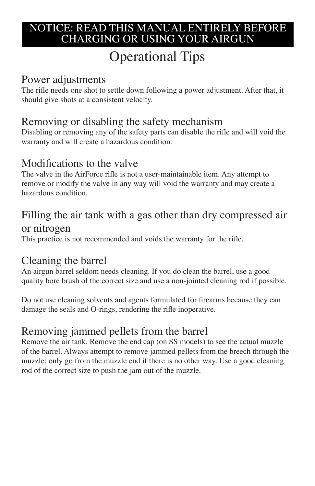## Operational Tips

#### Power adjustments

The rifle needs one shot to settle down following a power adjustment. After that, it should give shots at a consistent velocity.

#### Removing or disabling the safety mechanism

Disabling or removing any of the safety parts can disable the rifle and will void the warranty and will create a hazardous condition.

#### Modifications to the valve

The valve in the AirForce rifle is not a user-maintainable item. Any attempt to remove or modify the valve in any way will void the warranty and may create a hazardous condition.

#### Filling the air tank with a gas other than dry compressed air or nitrogen

This practice is not recommended and voids the warranty for the rifle.

#### Cleaning the barrel

An airgun barrel seldom needs cleaning. If you do clean the barrel, use a good quality bore brush of the correct size and use a non-jointed cleaning rod if possible.

Do not use cleaning solvents and agents formulated for firearms because they can damage the seals and O-rings, rendering the rifle inoperative.

#### Removing jammed pellets from the barrel

Remove the air tank. Remove the end cap (on SS models) to see the actual muzzle of the barrel. Always attempt to remove jammed pellets from the breech through the muzzle; only go from the muzzle end if there is no other way. Use a good cleaning rod of the correct size to push the jam out of the muzzle.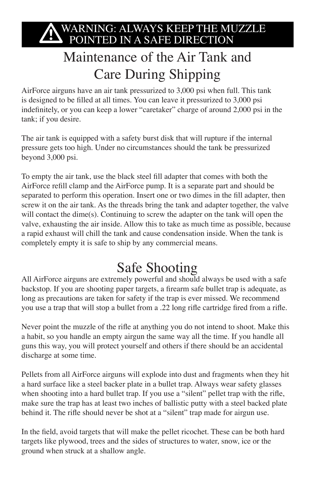## WARNING: ALWAYS KEEP THE MUZZLE<br>DOINTED IN A SAFE DIRECTION

## Maintenance of the Air Tank and Care During Shipping

AirForce airguns have an air tank pressurized to 3,000 psi when full. This tank is designed to be filled at all times. You can leave it pressurized to 3,000 psi indefinitely, or you can keep a lower "caretaker" charge of around 2,000 psi in the tank; if you desire.

The air tank is equipped with a safety burst disk that will rupture if the internal pressure gets too high. Under no circumstances should the tank be pressurized beyond 3,000 psi.

To empty the air tank, use the black steel fill adapter that comes with both the AirForce refill clamp and the AirForce pump. It is a separate part and should be separated to perform this operation. Insert one or two dimes in the fill adapter, then screw it on the air tank. As the threads bring the tank and adapter together, the valve will contact the dime(s). Continuing to screw the adapter on the tank will open the valve, exhausting the air inside. Allow this to take as much time as possible, because a rapid exhaust will chill the tank and cause condensation inside. When the tank is completely empty it is safe to ship by any commercial means.

### Safe Shooting

All AirForce airguns are extremely powerful and should always be used with a safe backstop. If you are shooting paper targets, a firearm safe bullet trap is adequate, as long as precautions are taken for safety if the trap is ever missed. We recommend you use a trap that will stop a bullet from a .22 long rifle cartridge fired from a rifle.

Never point the muzzle of the rifle at anything you do not intend to shoot. Make this a habit, so you handle an empty airgun the same way all the time. If you handle all guns this way, you will protect yourself and others if there should be an accidental discharge at some time.

Pellets from all AirForce airguns will explode into dust and fragments when they hit a hard surface like a steel backer plate in a bullet trap. Always wear safety glasses when shooting into a hard bullet trap. If you use a "silent" pellet trap with the rifle, make sure the trap has at least two inches of ballistic putty with a steel backed plate behind it. The rifle should never be shot at a "silent" trap made for airgun use.

In the field, avoid targets that will make the pellet ricochet. These can be both hard targets like plywood, trees and the sides of structures to water, snow, ice or the ground when struck at a shallow angle.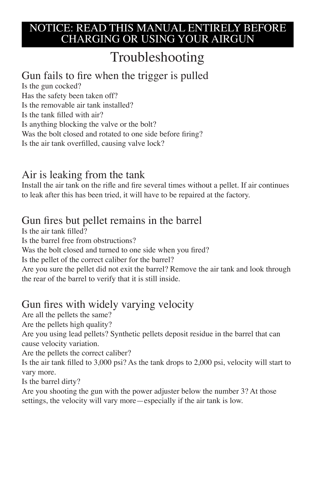## Troubleshooting

#### Gun fails to fire when the trigger is pulled

Is the gun cocked? Has the safety been taken off? Is the removable air tank installed? Is the tank filled with air? Is anything blocking the valve or the bolt? Was the bolt closed and rotated to one side before firing? Is the air tank overfilled, causing valve lock?

#### Air is leaking from the tank

Install the air tank on the rifle and fire several times without a pellet. If air continues to leak after this has been tried, it will have to be repaired at the factory.

#### Gun fires but pellet remains in the barrel

Is the air tank filled?

Is the barrel free from obstructions?

Was the bolt closed and turned to one side when you fired?

Is the pellet of the correct caliber for the barrel?

Are you sure the pellet did not exit the barrel? Remove the air tank and look through the rear of the barrel to verify that it is still inside.

#### Gun fires with widely varying velocity

Are all the pellets the same?

Are the pellets high quality?

Are you using lead pellets? Synthetic pellets deposit residue in the barrel that can cause velocity variation.

Are the pellets the correct caliber?

Is the air tank filled to 3,000 psi? As the tank drops to 2,000 psi, velocity will start to vary more.

Is the barrel dirty?

Are you shooting the gun with the power adjuster below the number 3? At those settings, the velocity will vary more—especially if the air tank is low.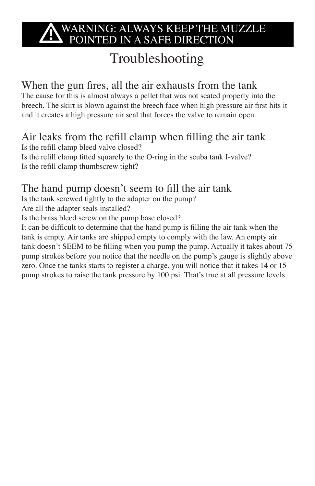## WARNING: ALWAYS KEEP THE MUZZLE<br>DOINTED IN A SAFE DIRECTION

## Troubleshooting

#### When the gun fires, all the air exhausts from the tank

The cause for this is almost always a pellet that was not seated properly into the breech. The skirt is blown against the breech face when high pressure air first hits it and it creates a high pressure air seal that forces the valve to remain open.

Air leaks from the refill clamp when filling the air tank Is the refill clamp bleed valve closed? Is the refill clamp fitted squarely to the O-ring in the scuba tank I-valve? Is the refill clamp thumbscrew tight?

#### The hand pump doesn't seem to fill the air tank

Is the tank screwed tightly to the adapter on the pump?

Are all the adapter seals installed?

Is the brass bleed screw on the pump base closed?

It can be difficult to determine that the hand pump is filling the air tank when the tank is empty. Air tanks are shipped empty to comply with the law. An empty air tank doesn't SEEM to be filling when you pump the pump. Actually it takes about 75 pump strokes before you notice that the needle on the pump's gauge is slightly above zero. Once the tanks starts to register a charge, you will notice that it takes 14 or 15 pump strokes to raise the tank pressure by 100 psi. That's true at all pressure levels.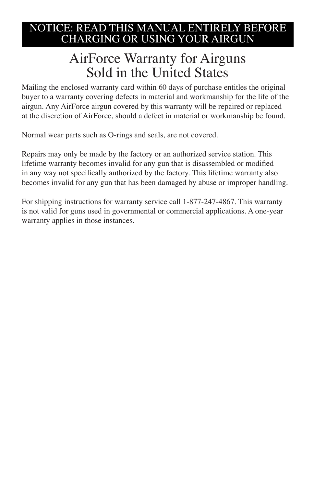### AirForce Warranty for Airguns Sold in the United States

Mailing the enclosed warranty card within 60 days of purchase entitles the original buyer to a warranty covering defects in material and workmanship for the life of the airgun. Any AirForce airgun covered by this warranty will be repaired or replaced at the discretion of AirForce, should a defect in material or workmanship be found.

Normal wear parts such as O-rings and seals, are not covered.

Repairs may only be made by the factory or an authorized service station. This lifetime warranty becomes invalid for any gun that is disassembled or modified in any way not specifically authorized by the factory. This lifetime warranty also becomes invalid for any gun that has been damaged by abuse or improper handling.

For shipping instructions for warranty service call 1-877-247-4867. This warranty is not valid for guns used in governmental or commercial applications. A one-year warranty applies in those instances.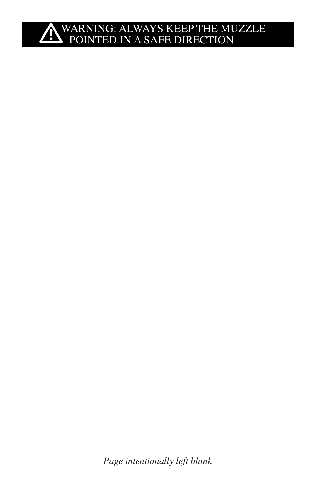# **A**WARNING: ALWAYS KEEP THE MUZZLE POINTED IN A SAFE DIRECTION

*Page intentionally left blank*